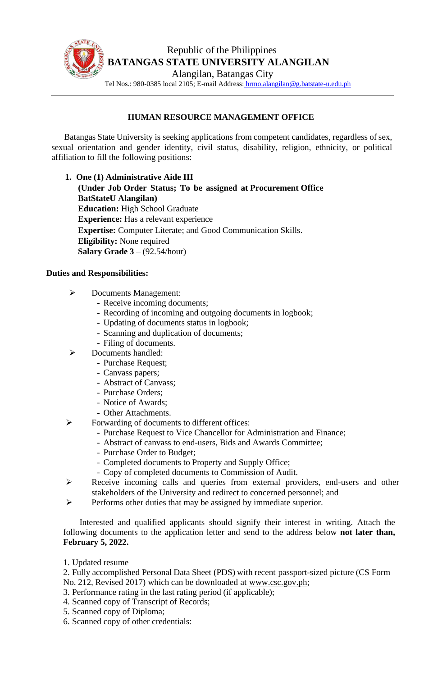

## **HUMAN RESOURCE MANAGEMENT OFFICE**

Batangas State University is seeking applications from competent candidates, regardless of sex, sexual orientation and gender identity, civil status, disability, religion, ethnicity, or political affiliation to fill the following positions:

**1. One (1) Administrative Aide III (Under Job Order Status; To be assigned at Procurement Office BatStateU Alangilan) Education:** High School Graduate **Experience:** Has a relevant experience **Expertise:** Computer Literate; and Good Communication Skills. **Eligibility:** None required **Salary Grade 3** – (92.54/hour)

## **Duties and Responsibilities:**

- ➢ Documents Management:
	- Receive incoming documents;
	- Recording of incoming and outgoing documents in logbook;
	- Updating of documents status in logbook;
	- Scanning and duplication of documents;
	- Filing of documents.
- ➢ Documents handled:
	- Purchase Request;
	- Canvass papers;
	- Abstract of Canvass;
	- Purchase Orders;
	- Notice of Awards;
	- Other Attachments.
- ➢ Forwarding of documents to different offices:
	- Purchase Request to Vice Chancellor for Administration and Finance;
	- Abstract of canvass to end-users, Bids and Awards Committee;
	- Purchase Order to Budget;
	- Completed documents to Property and Supply Office;
	- Copy of completed documents to Commission of Audit.
- ➢ Receive incoming calls and queries from external providers, end-users and other stakeholders of the University and redirect to concerned personnel; and
- ➢ Performs other duties that may be assigned by immediate superior.

Interested and qualified applicants should signify their interest in writing. Attach the following documents to the application letter and send to the address below **not later than, February 5, 2022.**

1. Updated resume

2. Fully accomplished Personal Data Sheet (PDS) with recent passport-sized picture (CS Form No. 212, Revised 2017) which can be downloaded at [www.csc.gov.ph;](http://www.csc.gov.ph/)

- 3. Performance rating in the last rating period (if applicable);
- 4. Scanned copy of Transcript of Records;
- 5. Scanned copy of Diploma;
- 6. Scanned copy of other credentials: